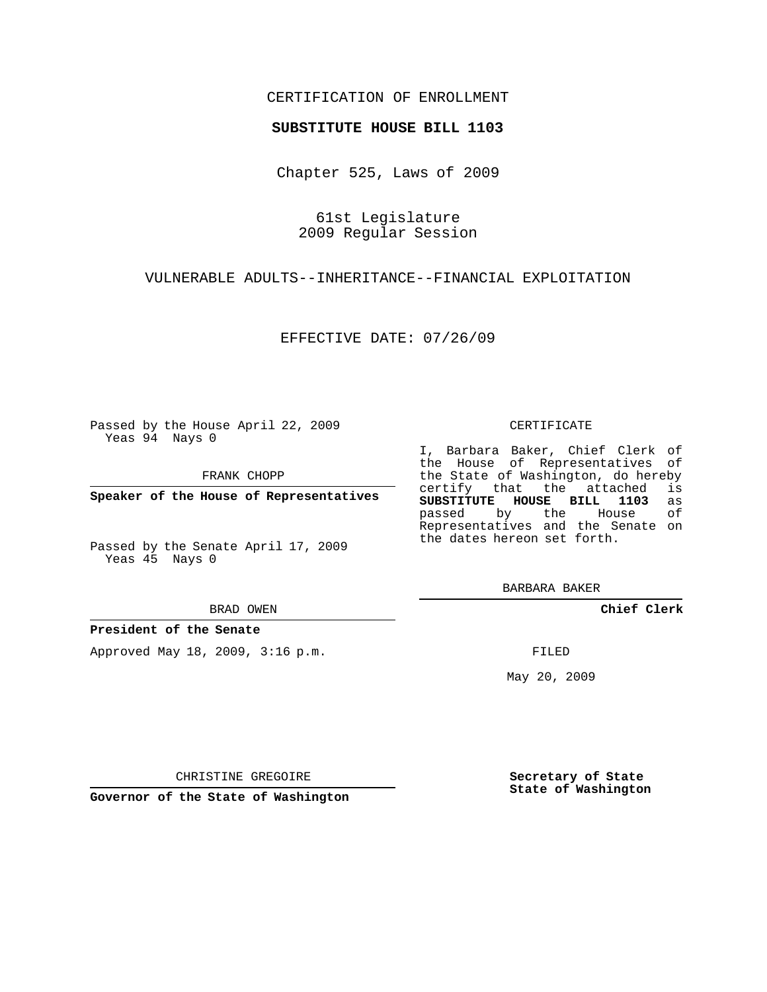## CERTIFICATION OF ENROLLMENT

### **SUBSTITUTE HOUSE BILL 1103**

Chapter 525, Laws of 2009

61st Legislature 2009 Regular Session

## VULNERABLE ADULTS--INHERITANCE--FINANCIAL EXPLOITATION

EFFECTIVE DATE: 07/26/09

Passed by the House April 22, 2009 Yeas 94 Nays 0

FRANK CHOPP

**Speaker of the House of Representatives**

Passed by the Senate April 17, 2009 Yeas 45 Nays 0

#### BRAD OWEN

**President of the Senate**

Approved May 18, 2009, 3:16 p.m.

### CERTIFICATE

I, Barbara Baker, Chief Clerk of the House of Representatives of the State of Washington, do hereby<br>certify that the attached is certify that the attached **SUBSTITUTE HOUSE BILL 1103** as passed by the House of Representatives and the Senate on the dates hereon set forth.

BARBARA BAKER

**Chief Clerk**

FILED

May 20, 2009

**Secretary of State State of Washington**

CHRISTINE GREGOIRE

**Governor of the State of Washington**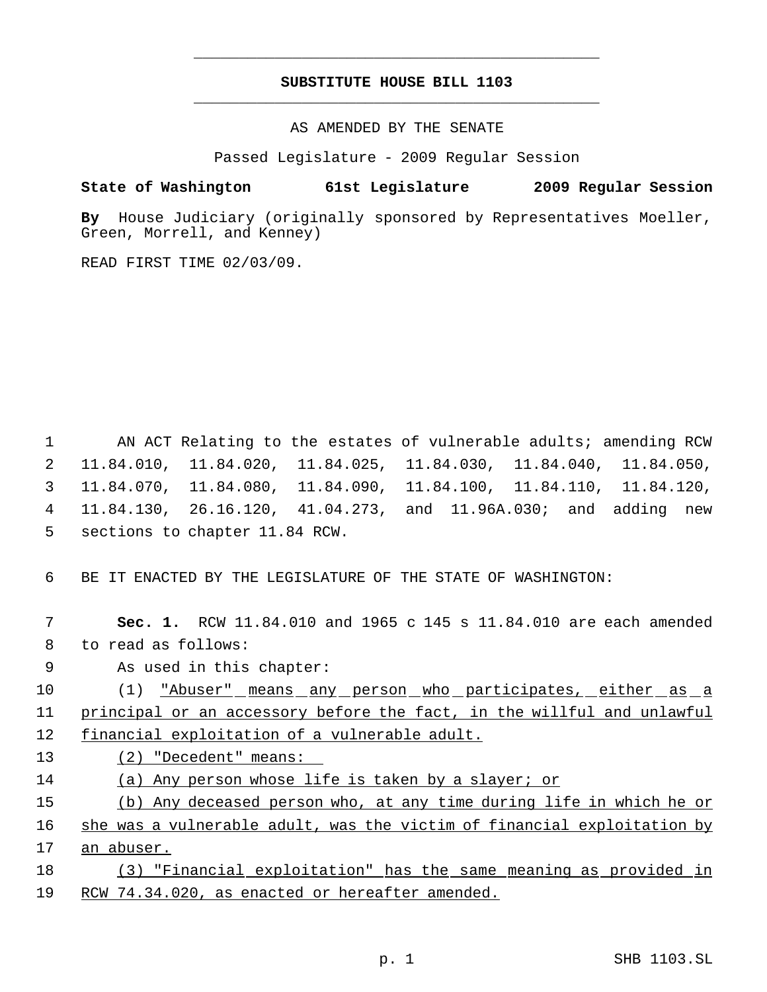# **SUBSTITUTE HOUSE BILL 1103** \_\_\_\_\_\_\_\_\_\_\_\_\_\_\_\_\_\_\_\_\_\_\_\_\_\_\_\_\_\_\_\_\_\_\_\_\_\_\_\_\_\_\_\_\_

\_\_\_\_\_\_\_\_\_\_\_\_\_\_\_\_\_\_\_\_\_\_\_\_\_\_\_\_\_\_\_\_\_\_\_\_\_\_\_\_\_\_\_\_\_

AS AMENDED BY THE SENATE

Passed Legislature - 2009 Regular Session

# **State of Washington 61st Legislature 2009 Regular Session**

**By** House Judiciary (originally sponsored by Representatives Moeller, Green, Morrell, and Kenney)

READ FIRST TIME 02/03/09.

1 AN ACT Relating to the estates of vulnerable adults; amending RCW 11.84.010, 11.84.020, 11.84.025, 11.84.030, 11.84.040, 11.84.050, 11.84.070, 11.84.080, 11.84.090, 11.84.100, 11.84.110, 11.84.120, 11.84.130, 26.16.120, 41.04.273, and 11.96A.030; and adding new sections to chapter 11.84 RCW.

6 BE IT ENACTED BY THE LEGISLATURE OF THE STATE OF WASHINGTON:

 7 **Sec. 1.** RCW 11.84.010 and 1965 c 145 s 11.84.010 are each amended 8 to read as follows:

9 As used in this chapter:

10 (1) "Abuser" means any person who participates, either as a 11 principal or an accessory before the fact, in the willful and unlawful 12 financial exploitation of a vulnerable adult.

13 (2) "Decedent" means:

14 (a) Any person whose life is taken by a slayer; or

15 (b) Any deceased person who, at any time during life in which he or

16 she was a vulnerable adult, was the victim of financial exploitation by 17 an abuser.

18 (3) "Financial exploitation" has the same meaning as provided in 19 RCW 74.34.020, as enacted or hereafter amended.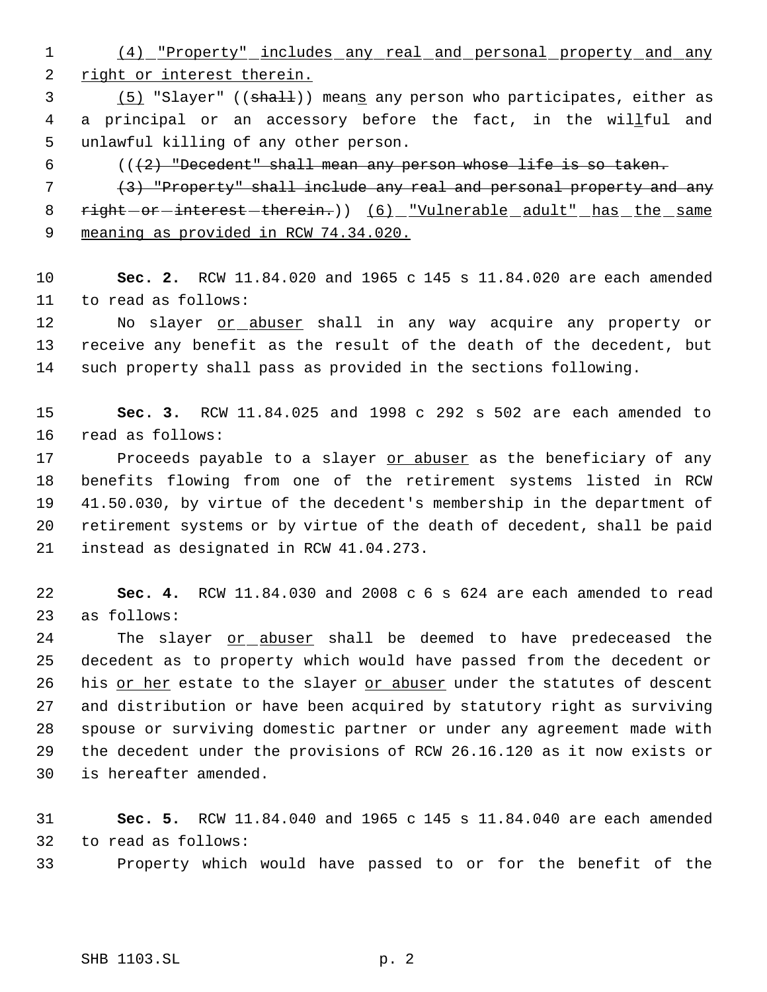(4) "Property" includes any real and personal property and any 2 right or interest therein.

3 (5) "Slayer" ((shall)) means any person who participates, either as 4 a principal or an accessory before the fact, in the willful and unlawful killing of any other person.

 $((2)$  "Decedent" shall mean any person whose life is so taken.

 (3) "Property" shall include any real and personal property and any 8 right - or - interest - therein.) (6) "Vulnerable adult" has the same 9 meaning as provided in RCW 74.34.020.

 **Sec. 2.** RCW 11.84.020 and 1965 c 145 s 11.84.020 are each amended to read as follows:

12 No slayer or abuser shall in any way acquire any property or receive any benefit as the result of the death of the decedent, but such property shall pass as provided in the sections following.

 **Sec. 3.** RCW 11.84.025 and 1998 c 292 s 502 are each amended to read as follows:

17 Proceeds payable to a slayer or abuser as the beneficiary of any benefits flowing from one of the retirement systems listed in RCW 41.50.030, by virtue of the decedent's membership in the department of retirement systems or by virtue of the death of decedent, shall be paid instead as designated in RCW 41.04.273.

 **Sec. 4.** RCW 11.84.030 and 2008 c 6 s 624 are each amended to read as follows:

24 The slayer or abuser shall be deemed to have predeceased the decedent as to property which would have passed from the decedent or 26 his or her estate to the slayer or abuser under the statutes of descent and distribution or have been acquired by statutory right as surviving spouse or surviving domestic partner or under any agreement made with the decedent under the provisions of RCW 26.16.120 as it now exists or is hereafter amended.

 **Sec. 5.** RCW 11.84.040 and 1965 c 145 s 11.84.040 are each amended to read as follows:

Property which would have passed to or for the benefit of the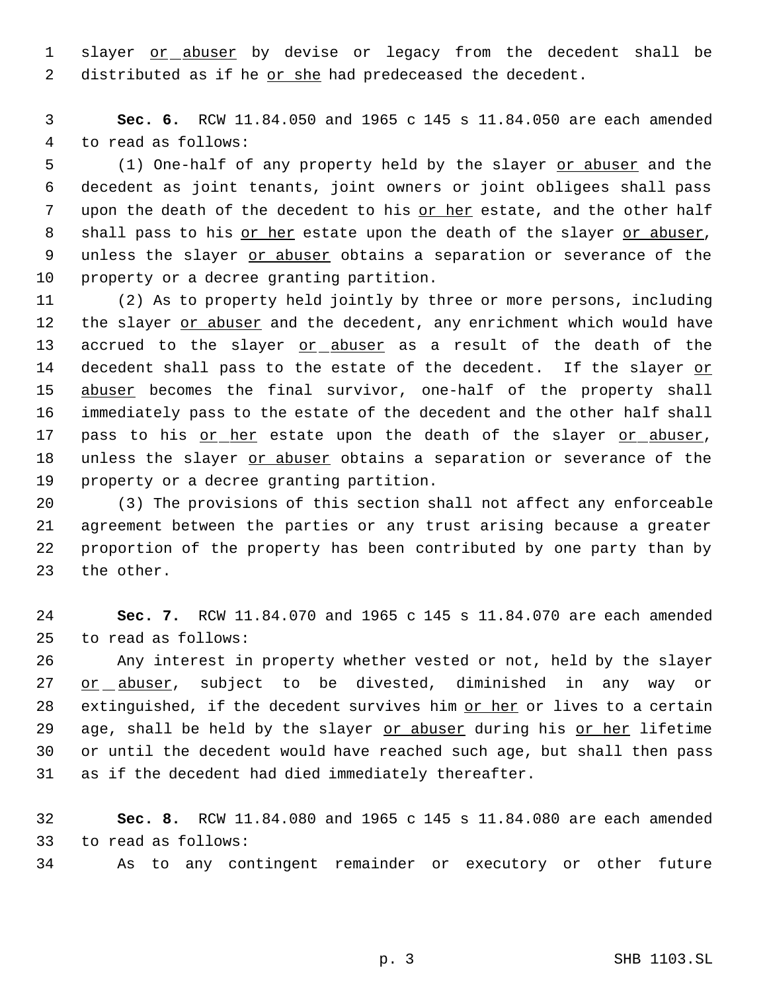1 slayer or abuser by devise or legacy from the decedent shall be 2 distributed as if he or she had predeceased the decedent.

 3 **Sec. 6.** RCW 11.84.050 and 1965 c 145 s 11.84.050 are each amended 4 to read as follows:

5 (1) One-half of any property held by the slayer or abuser and the 6 decedent as joint tenants, joint owners or joint obligees shall pass 7 upon the death of the decedent to his or her estate, and the other half 8 shall pass to his or her estate upon the death of the slayer or abuser, 9 unless the slayer or abuser obtains a separation or severance of the 10 property or a decree granting partition.

11 (2) As to property held jointly by three or more persons, including 12 the slayer or abuser and the decedent, any enrichment which would have 13 accrued to the slayer or abuser as a result of the death of the 14 decedent shall pass to the estate of the decedent. If the slayer or 15 abuser becomes the final survivor, one-half of the property shall 16 immediately pass to the estate of the decedent and the other half shall 17 pass to his or her estate upon the death of the slayer or abuser, 18 unless the slayer or abuser obtains a separation or severance of the 19 property or a decree granting partition.

 (3) The provisions of this section shall not affect any enforceable agreement between the parties or any trust arising because a greater proportion of the property has been contributed by one party than by the other.

24 **Sec. 7.** RCW 11.84.070 and 1965 c 145 s 11.84.070 are each amended 25 to read as follows:

26 Any interest in property whether vested or not, held by the slayer 27 or abuser, subject to be divested, diminished in any way or 28 extinguished, if the decedent survives him or her or lives to a certain 29 age, shall be held by the slayer or abuser during his or her lifetime 30 or until the decedent would have reached such age, but shall then pass 31 as if the decedent had died immediately thereafter.

32 **Sec. 8.** RCW 11.84.080 and 1965 c 145 s 11.84.080 are each amended 33 to read as follows:

34 As to any contingent remainder or executory or other future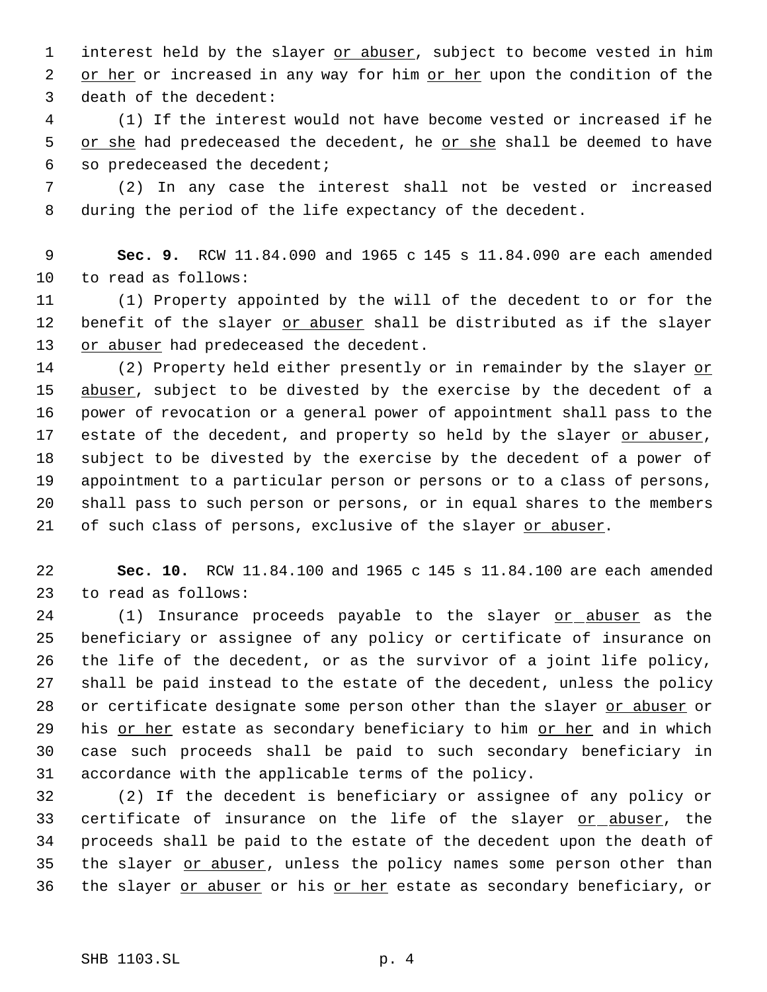1 interest held by the slayer or abuser, subject to become vested in him 2 or her or increased in any way for him or her upon the condition of the 3 death of the decedent:

 4 (1) If the interest would not have become vested or increased if he 5 or she had predeceased the decedent, he or she shall be deemed to have 6 so predeceased the decedent;

 7 (2) In any case the interest shall not be vested or increased 8 during the period of the life expectancy of the decedent.

 9 **Sec. 9.** RCW 11.84.090 and 1965 c 145 s 11.84.090 are each amended 10 to read as follows:

11 (1) Property appointed by the will of the decedent to or for the 12 benefit of the slayer or abuser shall be distributed as if the slayer 13 or abuser had predeceased the decedent.

14 (2) Property held either presently or in remainder by the slayer or 15 abuser, subject to be divested by the exercise by the decedent of a 16 power of revocation or a general power of appointment shall pass to the 17 estate of the decedent, and property so held by the slayer or abuser, 18 subject to be divested by the exercise by the decedent of a power of 19 appointment to a particular person or persons or to a class of persons, 20 shall pass to such person or persons, or in equal shares to the members 21 of such class of persons, exclusive of the slayer or abuser.

22 **Sec. 10.** RCW 11.84.100 and 1965 c 145 s 11.84.100 are each amended 23 to read as follows:

24 (1) Insurance proceeds payable to the slayer or abuser as the beneficiary or assignee of any policy or certificate of insurance on the life of the decedent, or as the survivor of a joint life policy, shall be paid instead to the estate of the decedent, unless the policy 28 or certificate designate some person other than the slayer or abuser or 29 his or her estate as secondary beneficiary to him or her and in which case such proceeds shall be paid to such secondary beneficiary in accordance with the applicable terms of the policy.

32 (2) If the decedent is beneficiary or assignee of any policy or 33 certificate of insurance on the life of the slayer or abuser, the 34 proceeds shall be paid to the estate of the decedent upon the death of 35 the slayer or abuser, unless the policy names some person other than 36 the slayer or abuser or his or her estate as secondary beneficiary, or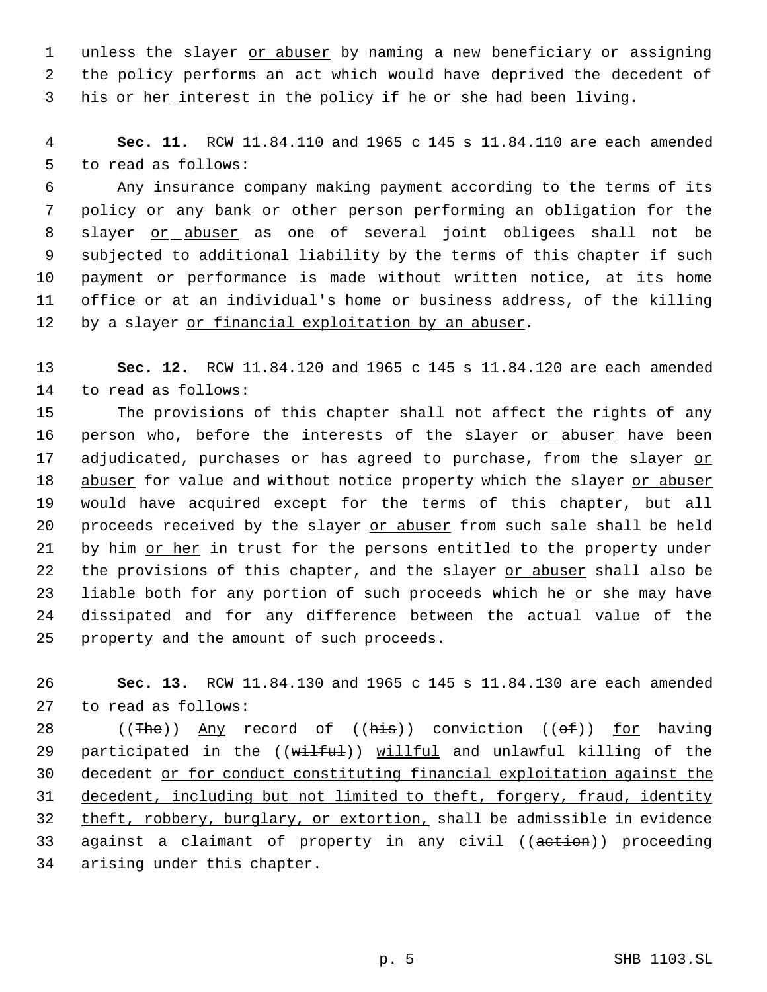1 unless the slayer or abuser by naming a new beneficiary or assigning 2 the policy performs an act which would have deprived the decedent of 3 his or her interest in the policy if he or she had been living.

 4 **Sec. 11.** RCW 11.84.110 and 1965 c 145 s 11.84.110 are each amended 5 to read as follows:

 Any insurance company making payment according to the terms of its policy or any bank or other person performing an obligation for the 8 slayer or abuser as one of several joint obligees shall not be subjected to additional liability by the terms of this chapter if such payment or performance is made without written notice, at its home office or at an individual's home or business address, of the killing 12 by a slayer or financial exploitation by an abuser.

13 **Sec. 12.** RCW 11.84.120 and 1965 c 145 s 11.84.120 are each amended 14 to read as follows:

15 The provisions of this chapter shall not affect the rights of any 16 person who, before the interests of the slayer or abuser have been 17 adjudicated, purchases or has agreed to purchase, from the slayer or 18 abuser for value and without notice property which the slayer or abuser 19 would have acquired except for the terms of this chapter, but all 20 proceeds received by the slayer or abuser from such sale shall be held 21 by him or her in trust for the persons entitled to the property under 22 the provisions of this chapter, and the slayer or abuser shall also be 23 liable both for any portion of such proceeds which he or she may have 24 dissipated and for any difference between the actual value of the 25 property and the amount of such proceeds.

26 **Sec. 13.** RCW 11.84.130 and 1965 c 145 s 11.84.130 are each amended 27 to read as follows:

28 ((The)) Any record of ((his)) conviction (( $\Theta$ f)) for having 29 participated in the ((wilful)) willful and unlawful killing of the 30 decedent or for conduct constituting financial exploitation against the 31 decedent, including but not limited to theft, forgery, fraud, identity 32 theft, robbery, burglary, or extortion, shall be admissible in evidence 33 against a claimant of property in any civil ((aetion)) proceeding 34 arising under this chapter.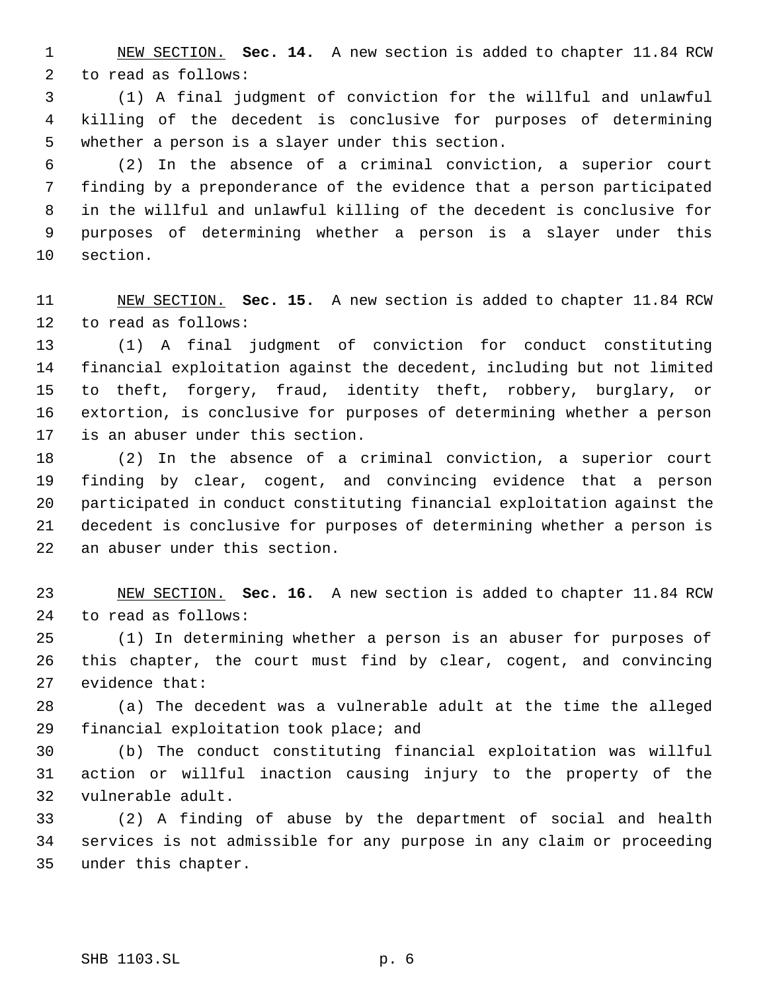NEW SECTION. **Sec. 14.** A new section is added to chapter 11.84 RCW to read as follows:

 (1) A final judgment of conviction for the willful and unlawful killing of the decedent is conclusive for purposes of determining whether a person is a slayer under this section.

 (2) In the absence of a criminal conviction, a superior court finding by a preponderance of the evidence that a person participated in the willful and unlawful killing of the decedent is conclusive for purposes of determining whether a person is a slayer under this section.

 NEW SECTION. **Sec. 15.** A new section is added to chapter 11.84 RCW to read as follows:

 (1) A final judgment of conviction for conduct constituting financial exploitation against the decedent, including but not limited to theft, forgery, fraud, identity theft, robbery, burglary, or extortion, is conclusive for purposes of determining whether a person is an abuser under this section.

 (2) In the absence of a criminal conviction, a superior court finding by clear, cogent, and convincing evidence that a person participated in conduct constituting financial exploitation against the decedent is conclusive for purposes of determining whether a person is an abuser under this section.

 NEW SECTION. **Sec. 16.** A new section is added to chapter 11.84 RCW to read as follows:

 (1) In determining whether a person is an abuser for purposes of this chapter, the court must find by clear, cogent, and convincing evidence that:

 (a) The decedent was a vulnerable adult at the time the alleged financial exploitation took place; and

 (b) The conduct constituting financial exploitation was willful action or willful inaction causing injury to the property of the vulnerable adult.

 (2) A finding of abuse by the department of social and health services is not admissible for any purpose in any claim or proceeding under this chapter.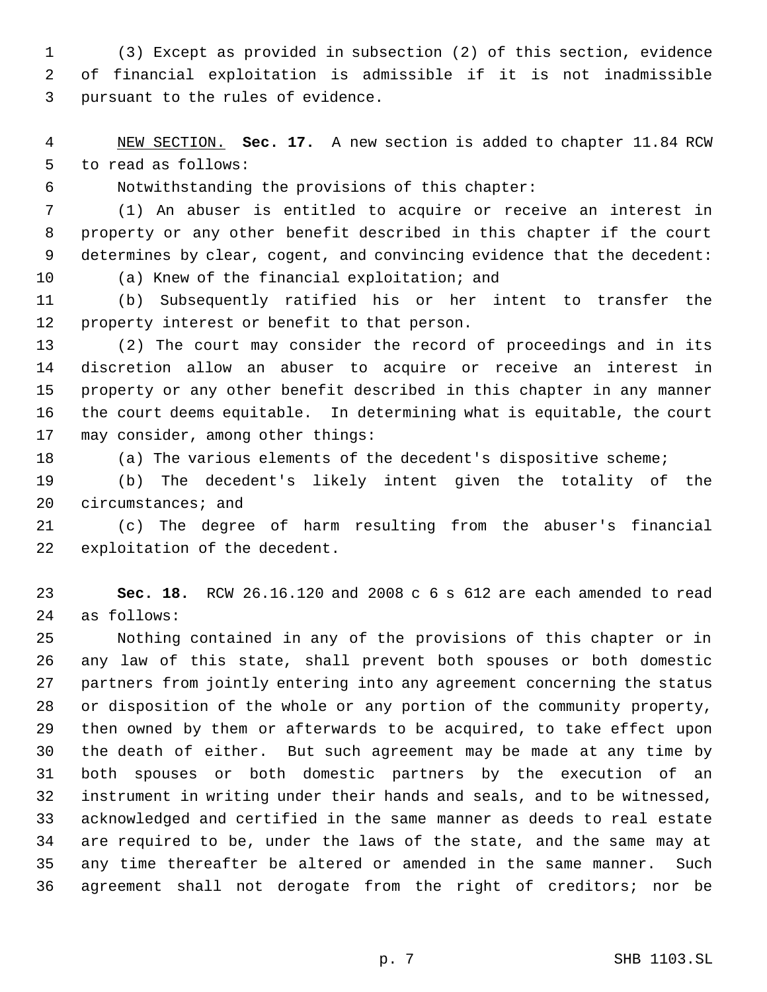(3) Except as provided in subsection (2) of this section, evidence of financial exploitation is admissible if it is not inadmissible pursuant to the rules of evidence.

 NEW SECTION. **Sec. 17.** A new section is added to chapter 11.84 RCW to read as follows:

Notwithstanding the provisions of this chapter:

 (1) An abuser is entitled to acquire or receive an interest in property or any other benefit described in this chapter if the court determines by clear, cogent, and convincing evidence that the decedent: (a) Knew of the financial exploitation; and

 (b) Subsequently ratified his or her intent to transfer the property interest or benefit to that person.

 (2) The court may consider the record of proceedings and in its discretion allow an abuser to acquire or receive an interest in property or any other benefit described in this chapter in any manner the court deems equitable. In determining what is equitable, the court may consider, among other things:

(a) The various elements of the decedent's dispositive scheme;

 (b) The decedent's likely intent given the totality of the circumstances; and

 (c) The degree of harm resulting from the abuser's financial exploitation of the decedent.

 **Sec. 18.** RCW 26.16.120 and 2008 c 6 s 612 are each amended to read as follows:

 Nothing contained in any of the provisions of this chapter or in any law of this state, shall prevent both spouses or both domestic partners from jointly entering into any agreement concerning the status or disposition of the whole or any portion of the community property, then owned by them or afterwards to be acquired, to take effect upon the death of either. But such agreement may be made at any time by both spouses or both domestic partners by the execution of an instrument in writing under their hands and seals, and to be witnessed, acknowledged and certified in the same manner as deeds to real estate are required to be, under the laws of the state, and the same may at any time thereafter be altered or amended in the same manner. Such agreement shall not derogate from the right of creditors; nor be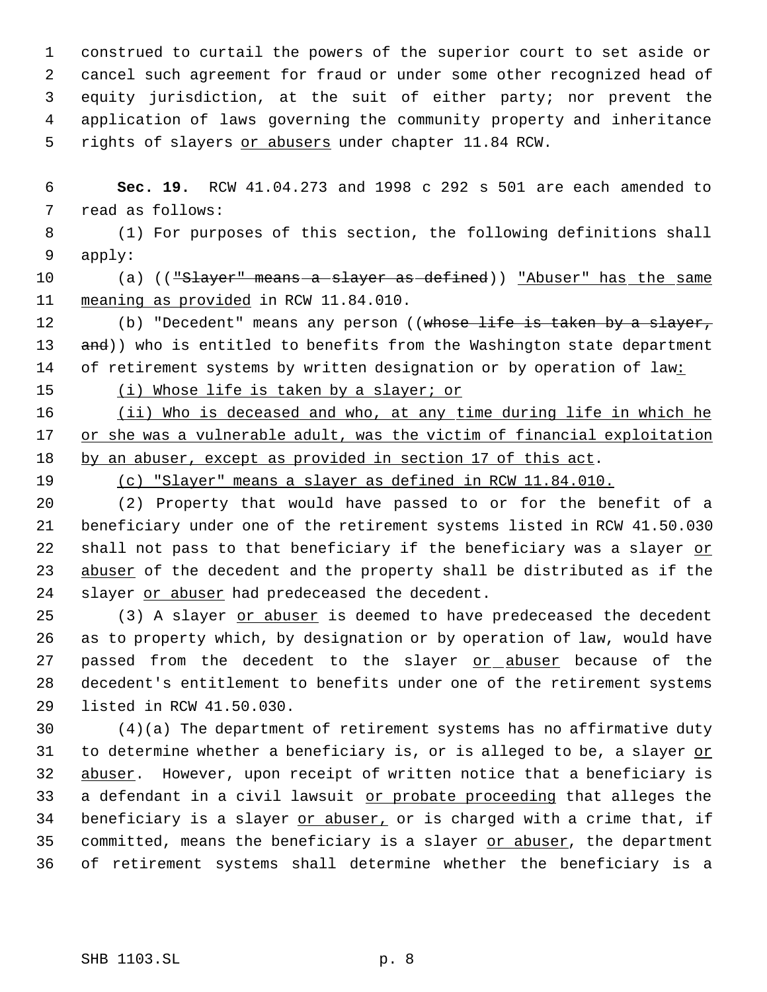construed to curtail the powers of the superior court to set aside or cancel such agreement for fraud or under some other recognized head of equity jurisdiction, at the suit of either party; nor prevent the application of laws governing the community property and inheritance 5 rights of slayers or abusers under chapter 11.84 RCW.

 6 **Sec. 19.** RCW 41.04.273 and 1998 c 292 s 501 are each amended to 7 read as follows:

 8 (1) For purposes of this section, the following definitions shall 9 apply:

10 (a) (("Slayer" means a slayer as defined)) "Abuser" has the same 11 meaning as provided in RCW 11.84.010.

12 (b) "Decedent" means any person ((whose life is taken by a slayer, 13 and)) who is entitled to benefits from the Washington state department 14 of retirement systems by written designation or by operation of law:

15 (i) Whose life is taken by a slayer; or

16 (ii) Who is deceased and who, at any time during life in which he 17 or she was a vulnerable adult, was the victim of financial exploitation 18 by an abuser, except as provided in section 17 of this act.

19 (c) "Slayer" means a slayer as defined in RCW 11.84.010.

20 (2) Property that would have passed to or for the benefit of a 21 beneficiary under one of the retirement systems listed in RCW 41.50.030 22 shall not pass to that beneficiary if the beneficiary was a slayer or 23 abuser of the decedent and the property shall be distributed as if the 24 slayer or abuser had predeceased the decedent.

25 (3) A slayer or abuser is deemed to have predeceased the decedent 26 as to property which, by designation or by operation of law, would have 27 passed from the decedent to the slayer or abuser because of the 28 decedent's entitlement to benefits under one of the retirement systems 29 listed in RCW 41.50.030.

30 (4)(a) The department of retirement systems has no affirmative duty 31 to determine whether a beneficiary is, or is alleged to be, a slayer or 32 abuser. However, upon receipt of written notice that a beneficiary is 33 a defendant in a civil lawsuit or probate proceeding that alleges the 34 beneficiary is a slayer or abuser, or is charged with a crime that, if 35 committed, means the beneficiary is a slayer or abuser, the department 36 of retirement systems shall determine whether the beneficiary is a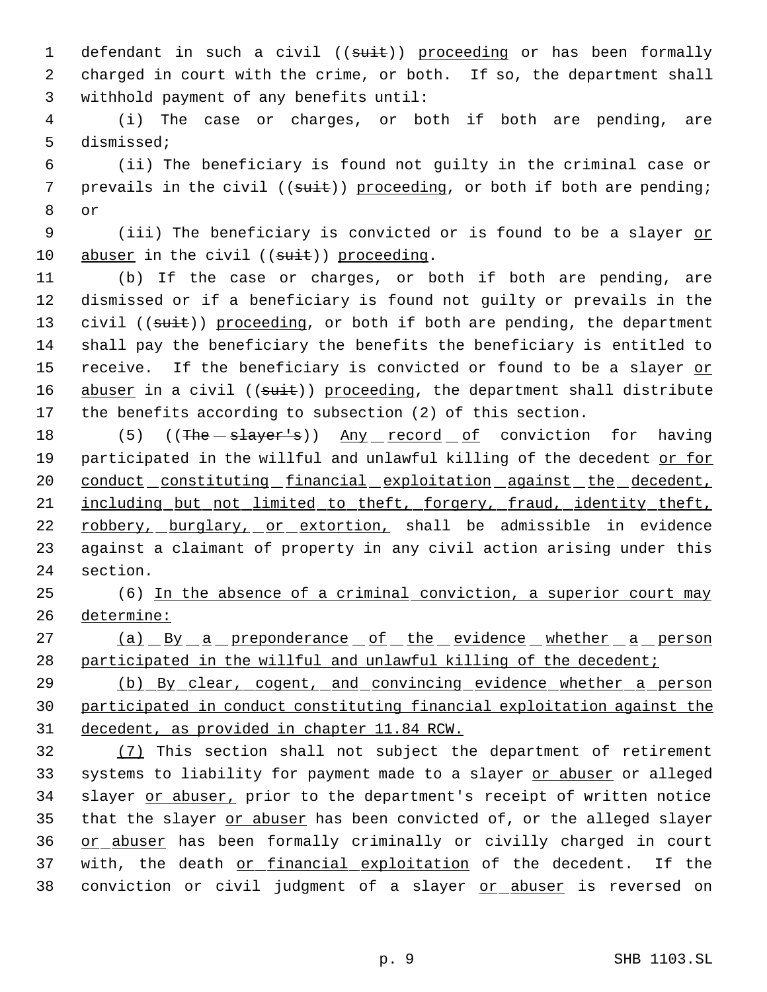1 defendant in such a civil ((suit)) proceeding or has been formally 2 charged in court with the crime, or both. If so, the department shall 3 withhold payment of any benefits until:

 4 (i) The case or charges, or both if both are pending, are 5 dismissed;

 6 (ii) The beneficiary is found not guilty in the criminal case or 7 prevails in the civil ((suit)) proceeding, or both if both are pending; 8 or

9 (iii) The beneficiary is convicted or is found to be a slayer or 10 abuser in the civil  $((suit))$  proceeding.

11 (b) If the case or charges, or both if both are pending, are 12 dismissed or if a beneficiary is found not guilty or prevails in the 13 civil ((suit)) proceeding, or both if both are pending, the department 14 shall pay the beneficiary the benefits the beneficiary is entitled to 15 receive. If the beneficiary is convicted or found to be a slayer or 16 abuser in a civil ((suit)) proceeding, the department shall distribute 17 the benefits according to subsection (2) of this section.

18 (5) ((The slayer's)) Any record of conviction for having 19 participated in the willful and unlawful killing of the decedent or for 20 conduct constituting financial exploitation against the decedent, 21 including but not limited to theft, forgery, fraud, identity theft, 22 robbery, burglary, or extortion, shall be admissible in evidence 23 against a claimant of property in any civil action arising under this 24 section.

25 (6) In the absence of a criminal conviction, a superior court may 26 determine:

27 (a) By a preponderance of the evidence whether a person 28 participated in the willful and unlawful killing of the decedent;

29 (b) By clear, cogent, and convincing evidence whether a person 30 participated in conduct constituting financial exploitation against the 31 decedent, as provided in chapter 11.84 RCW.

32 (7) This section shall not subject the department of retirement 33 systems to liability for payment made to a slayer or abuser or alleged 34 slayer or abuser, prior to the department's receipt of written notice 35 that the slayer or abuser has been convicted of, or the alleged slayer 36 or abuser has been formally criminally or civilly charged in court 37 with, the death or financial exploitation of the decedent. If the 38 conviction or civil judgment of a slayer or abuser is reversed on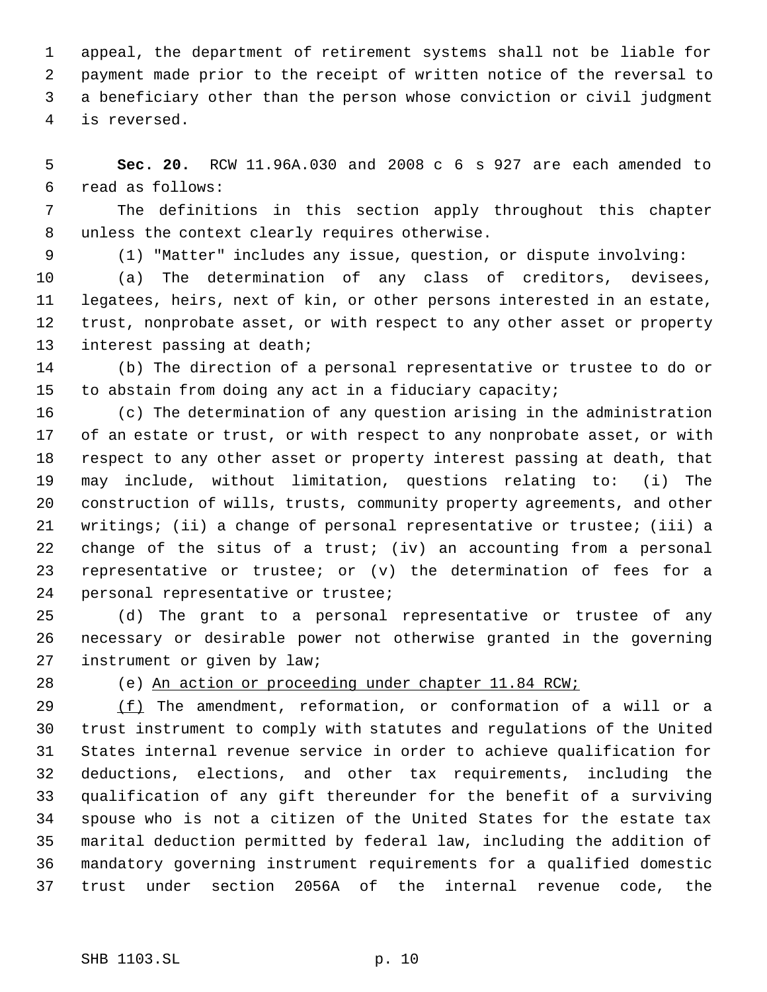appeal, the department of retirement systems shall not be liable for payment made prior to the receipt of written notice of the reversal to a beneficiary other than the person whose conviction or civil judgment is reversed.

 **Sec. 20.** RCW 11.96A.030 and 2008 c 6 s 927 are each amended to read as follows:

 The definitions in this section apply throughout this chapter unless the context clearly requires otherwise.

(1) "Matter" includes any issue, question, or dispute involving:

 (a) The determination of any class of creditors, devisees, legatees, heirs, next of kin, or other persons interested in an estate, trust, nonprobate asset, or with respect to any other asset or property interest passing at death;

 (b) The direction of a personal representative or trustee to do or to abstain from doing any act in a fiduciary capacity;

 (c) The determination of any question arising in the administration of an estate or trust, or with respect to any nonprobate asset, or with respect to any other asset or property interest passing at death, that may include, without limitation, questions relating to: (i) The construction of wills, trusts, community property agreements, and other writings; (ii) a change of personal representative or trustee; (iii) a change of the situs of a trust; (iv) an accounting from a personal representative or trustee; or (v) the determination of fees for a personal representative or trustee;

 (d) The grant to a personal representative or trustee of any necessary or desirable power not otherwise granted in the governing instrument or given by law;

(e) An action or proceeding under chapter 11.84 RCW;

 $(f)$  The amendment, reformation, or conformation of a will or a trust instrument to comply with statutes and regulations of the United States internal revenue service in order to achieve qualification for deductions, elections, and other tax requirements, including the qualification of any gift thereunder for the benefit of a surviving spouse who is not a citizen of the United States for the estate tax marital deduction permitted by federal law, including the addition of mandatory governing instrument requirements for a qualified domestic trust under section 2056A of the internal revenue code, the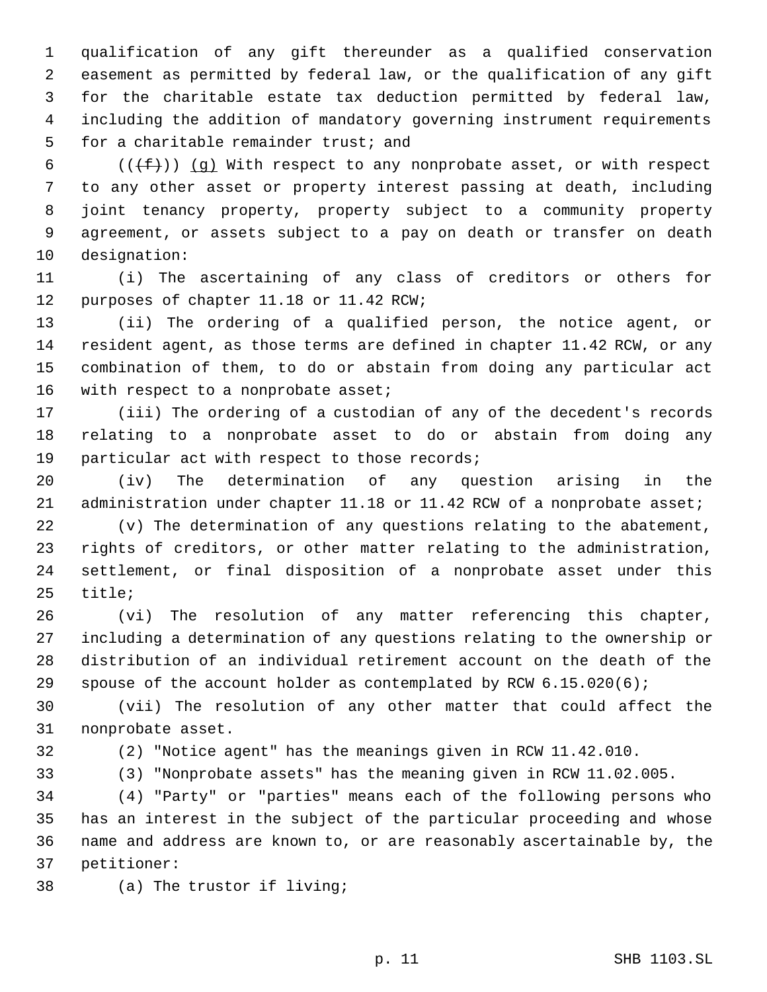qualification of any gift thereunder as a qualified conservation easement as permitted by federal law, or the qualification of any gift for the charitable estate tax deduction permitted by federal law, including the addition of mandatory governing instrument requirements for a charitable remainder trust; and

6 ( $(\text{f}(\text{f}))$  (q) With respect to any nonprobate asset, or with respect to any other asset or property interest passing at death, including joint tenancy property, property subject to a community property agreement, or assets subject to a pay on death or transfer on death designation:

 (i) The ascertaining of any class of creditors or others for purposes of chapter 11.18 or 11.42 RCW;

 (ii) The ordering of a qualified person, the notice agent, or resident agent, as those terms are defined in chapter 11.42 RCW, or any combination of them, to do or abstain from doing any particular act 16 with respect to a nonprobate asset;

 (iii) The ordering of a custodian of any of the decedent's records relating to a nonprobate asset to do or abstain from doing any particular act with respect to those records;

 (iv) The determination of any question arising in the 21 administration under chapter 11.18 or 11.42 RCW of a nonprobate asset;

 (v) The determination of any questions relating to the abatement, rights of creditors, or other matter relating to the administration, settlement, or final disposition of a nonprobate asset under this title;

 (vi) The resolution of any matter referencing this chapter, including a determination of any questions relating to the ownership or distribution of an individual retirement account on the death of the spouse of the account holder as contemplated by RCW 6.15.020(6);

 (vii) The resolution of any other matter that could affect the nonprobate asset.

(2) "Notice agent" has the meanings given in RCW 11.42.010.

(3) "Nonprobate assets" has the meaning given in RCW 11.02.005.

 (4) "Party" or "parties" means each of the following persons who has an interest in the subject of the particular proceeding and whose name and address are known to, or are reasonably ascertainable by, the petitioner:

(a) The trustor if living;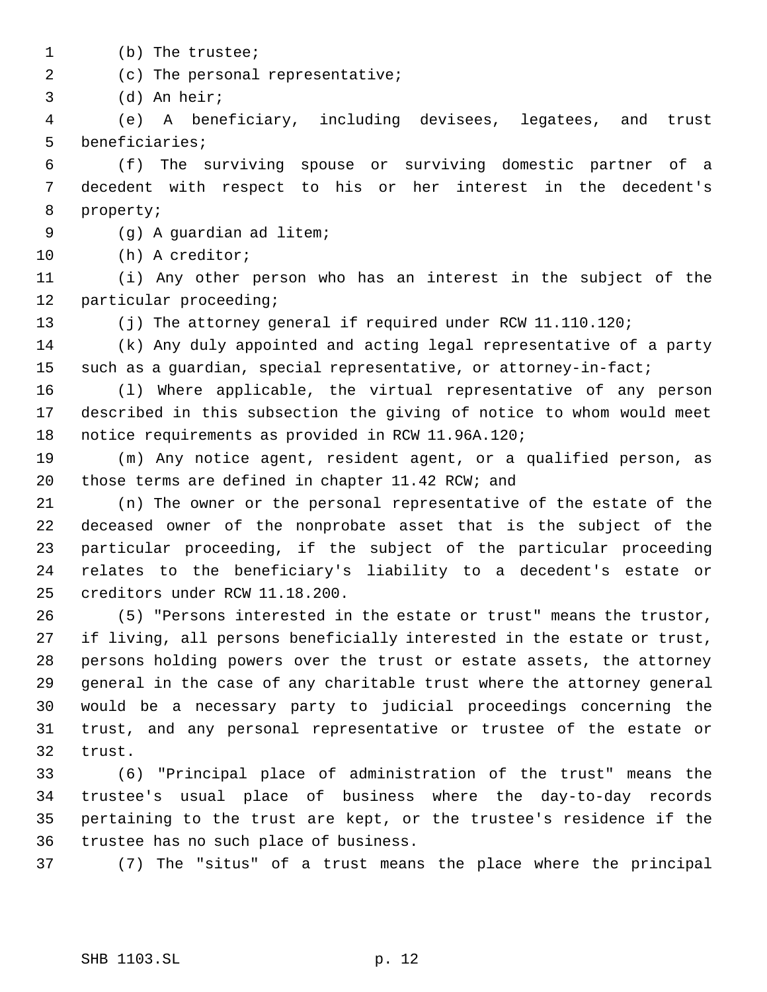- (b) The trustee;
- (c) The personal representative;

(d) An heir;

 (e) A beneficiary, including devisees, legatees, and trust beneficiaries;

 (f) The surviving spouse or surviving domestic partner of a decedent with respect to his or her interest in the decedent's property;

(g) A guardian ad litem;

(h) A creditor;

 (i) Any other person who has an interest in the subject of the particular proceeding;

(j) The attorney general if required under RCW 11.110.120;

 (k) Any duly appointed and acting legal representative of a party such as a guardian, special representative, or attorney-in-fact;

 (l) Where applicable, the virtual representative of any person described in this subsection the giving of notice to whom would meet notice requirements as provided in RCW 11.96A.120;

 (m) Any notice agent, resident agent, or a qualified person, as those terms are defined in chapter 11.42 RCW; and

 (n) The owner or the personal representative of the estate of the deceased owner of the nonprobate asset that is the subject of the particular proceeding, if the subject of the particular proceeding relates to the beneficiary's liability to a decedent's estate or creditors under RCW 11.18.200.

 (5) "Persons interested in the estate or trust" means the trustor, if living, all persons beneficially interested in the estate or trust, persons holding powers over the trust or estate assets, the attorney general in the case of any charitable trust where the attorney general would be a necessary party to judicial proceedings concerning the trust, and any personal representative or trustee of the estate or trust.

 (6) "Principal place of administration of the trust" means the trustee's usual place of business where the day-to-day records pertaining to the trust are kept, or the trustee's residence if the trustee has no such place of business.

(7) The "situs" of a trust means the place where the principal